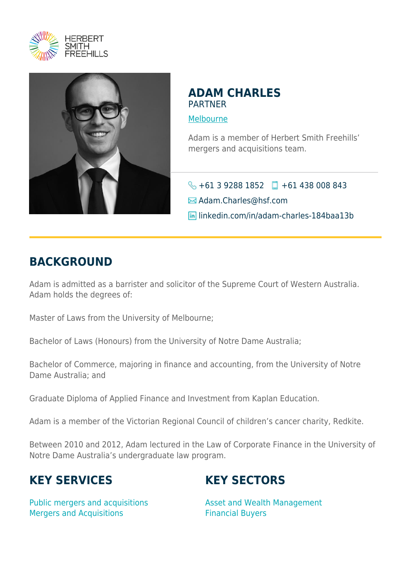



#### **ADAM CHARLES** PARTNER

[Melbourne](https://www.herbertsmithfreehills.com/where-we-work/melbourne)

Adam is a member of Herbert Smith Freehills' mergers and acquisitions team.

 $\bigodot$  +61 3 9288 1852 +61 438 008 843 **M** Adam.Charles@hsf.com linkedin.com/in/adam-charles-184baa13b

### **BACKGROUND**

Adam is admitted as a barrister and solicitor of the Supreme Court of Western Australia. Adam holds the degrees of:

Master of Laws from the University of Melbourne;

Bachelor of Laws (Honours) from the University of Notre Dame Australia;

Bachelor of Commerce, majoring in finance and accounting, from the University of Notre Dame Australia; and

Graduate Diploma of Applied Finance and Investment from Kaplan Education.

Adam is a member of the Victorian Regional Council of children's cancer charity, Redkite.

Between 2010 and 2012, Adam lectured in the Law of Corporate Finance in the University of Notre Dame Australia's undergraduate law program.

# **KEY SERVICES**

# **KEY SECTORS**

Public mergers and acquisitions Mergers and Acquisitions

Asset and Wealth Management Financial Buyers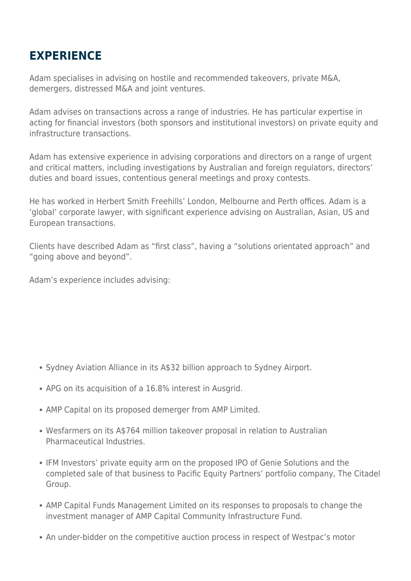#### **EXPERIENCE**

Adam specialises in advising on hostile and recommended takeovers, private M&A, demergers, distressed M&A and joint ventures.

Adam advises on transactions across a range of industries. He has particular expertise in acting for financial investors (both sponsors and institutional investors) on private equity and infrastructure transactions.

Adam has extensive experience in advising corporations and directors on a range of urgent and critical matters, including investigations by Australian and foreign regulators, directors' duties and board issues, contentious general meetings and proxy contests.

He has worked in Herbert Smith Freehills' London, Melbourne and Perth offices. Adam is a 'global' corporate lawyer, with significant experience advising on Australian, Asian, US and European transactions.

Clients have described Adam as "first class", having a "solutions orientated approach" and "going above and beyond".

Adam's experience includes advising:

- Sydney Aviation Alliance in its A\$32 billion approach to Sydney Airport.
- APG on its acquisition of a 16.8% interest in Ausgrid.
- AMP Capital on its proposed demerger from AMP Limited.
- Wesfarmers on its A\$764 million takeover proposal in relation to Australian Pharmaceutical Industries.
- IFM Investors' private equity arm on the proposed IPO of Genie Solutions and the completed sale of that business to Pacific Equity Partners' portfolio company, The Citadel Group.
- AMP Capital Funds Management Limited on its responses to proposals to change the investment manager of AMP Capital Community Infrastructure Fund.
- An under-bidder on the competitive auction process in respect of Westpac's motor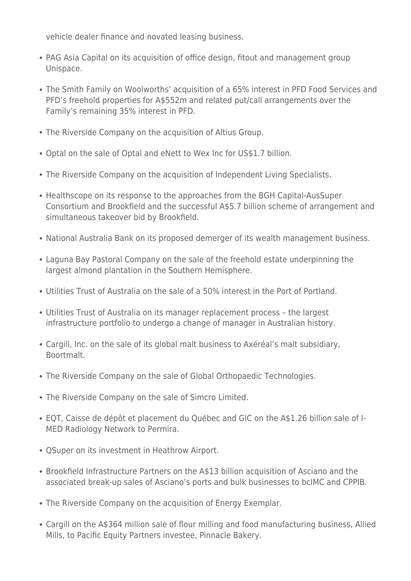vehicle dealer finance and novated leasing business.

- PAG Asia Capital on its acquisition of office design, fitout and management group Unispace.
- The Smith Family on Woolworths' acquisition of a 65% interest in PFD Food Services and PFD's freehold properties for A\$552m and related put/call arrangements over the Family's remaining 35% interest in PFD.
- The Riverside Company on the acquisition of Altius Group.
- Optal on the sale of Optal and eNett to Wex Inc for US\$1.7 billion.
- The Riverside Company on the acquisition of Independent Living Specialists.
- Healthscope on its response to the approaches from the BGH Capital-AusSuper Consortium and Brookfield and the successful A\$5.7 billion scheme of arrangement and simultaneous takeover bid by Brookfield.
- National Australia Bank on its proposed demerger of its wealth management business.
- Laguna Bay Pastoral Company on the sale of the freehold estate underpinning the largest almond plantation in the Southern Hemisphere.
- Utilities Trust of Australia on the sale of a 50% interest in the Port of Portland.
- Utilities Trust of Australia on its manager replacement process the largest infrastructure portfolio to undergo a change of manager in Australian history.
- Cargill, Inc. on the sale of its global malt business to Axéréal's malt subsidiary, Boortmalt.
- The Riverside Company on the sale of Global Orthopaedic Technologies.
- The Riverside Company on the sale of Simcro Limited.
- EQT, Caisse de dépôt et placement du Québec and GIC on the A\$1.26 billion sale of I-MED Radiology Network to Permira.
- QSuper on its investment in Heathrow Airport.
- Brookfield Infrastructure Partners on the A\$13 billion acquisition of Asciano and the associated break-up sales of Asciano's ports and bulk businesses to bcIMC and CPPIB.
- The Riverside Company on the acquisition of Energy Exemplar.
- Cargill on the A\$364 million sale of flour milling and food manufacturing business, Allied Mills, to Pacific Equity Partners investee, Pinnacle Bakery.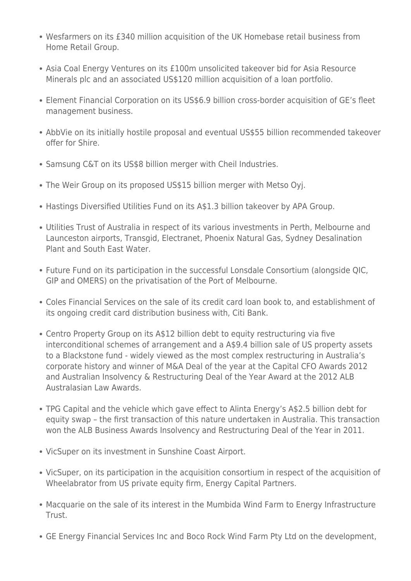- Wesfarmers on its £340 million acquisition of the UK Homebase retail business from Home Retail Group.
- Asia Coal Energy Ventures on its £100m unsolicited takeover bid for Asia Resource Minerals plc and an associated US\$120 million acquisition of a loan portfolio.
- Element Financial Corporation on its US\$6.9 billion cross-border acquisition of GE's fleet management business.
- AbbVie on its initially hostile proposal and eventual US\$55 billion recommended takeover offer for Shire.
- Samsung C&T on its US\$8 billion merger with Cheil Industries.
- The Weir Group on its proposed US\$15 billion merger with Metso Oyj.
- Hastings Diversified Utilities Fund on its A\$1.3 billion takeover by APA Group.
- Utilities Trust of Australia in respect of its various investments in Perth, Melbourne and Launceston airports, Transgid, Electranet, Phoenix Natural Gas, Sydney Desalination Plant and South East Water.
- Future Fund on its participation in the successful Lonsdale Consortium (alongside QIC, GIP and OMERS) on the privatisation of the Port of Melbourne.
- Coles Financial Services on the sale of its credit card loan book to, and establishment of its ongoing credit card distribution business with, Citi Bank.
- Centro Property Group on its A\$12 billion debt to equity restructuring via five interconditional schemes of arrangement and a A\$9.4 billion sale of US property assets to a Blackstone fund - widely viewed as the most complex restructuring in Australia's corporate history and winner of M&A Deal of the year at the Capital CFO Awards 2012 and Australian Insolvency & Restructuring Deal of the Year Award at the 2012 ALB Australasian Law Awards.
- TPG Capital and the vehicle which gave effect to Alinta Energy's A\$2.5 billion debt for equity swap – the first transaction of this nature undertaken in Australia. This transaction won the ALB Business Awards Insolvency and Restructuring Deal of the Year in 2011.
- VicSuper on its investment in Sunshine Coast Airport.
- VicSuper, on its participation in the acquisition consortium in respect of the acquisition of Wheelabrator from US private equity firm, Energy Capital Partners.
- Macquarie on the sale of its interest in the Mumbida Wind Farm to Energy Infrastructure Trust.
- GE Energy Financial Services Inc and Boco Rock Wind Farm Pty Ltd on the development,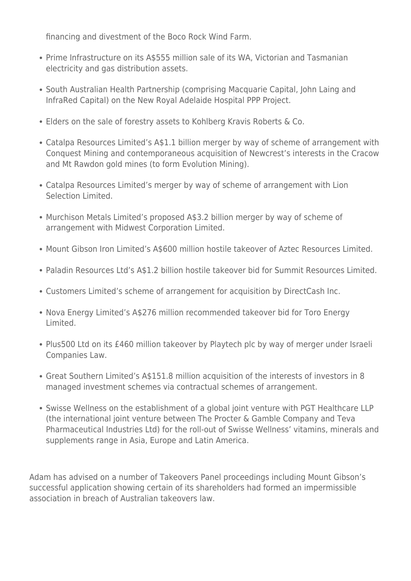financing and divestment of the Boco Rock Wind Farm.

- Prime Infrastructure on its A\$555 million sale of its WA, Victorian and Tasmanian electricity and gas distribution assets.
- South Australian Health Partnership (comprising Macquarie Capital, John Laing and InfraRed Capital) on the New Royal Adelaide Hospital PPP Project.
- Elders on the sale of forestry assets to Kohlberg Kravis Roberts & Co.
- Catalpa Resources Limited's A\$1.1 billion merger by way of scheme of arrangement with Conquest Mining and contemporaneous acquisition of Newcrest's interests in the Cracow and Mt Rawdon gold mines (to form Evolution Mining).
- Catalpa Resources Limited's merger by way of scheme of arrangement with Lion Selection Limited.
- Murchison Metals Limited's proposed A\$3.2 billion merger by way of scheme of arrangement with Midwest Corporation Limited.
- Mount Gibson Iron Limited's A\$600 million hostile takeover of Aztec Resources Limited.
- Paladin Resources Ltd's A\$1.2 billion hostile takeover bid for Summit Resources Limited.
- Customers Limited's scheme of arrangement for acquisition by DirectCash Inc.
- Nova Energy Limited's A\$276 million recommended takeover bid for Toro Energy Limited.
- Plus500 Ltd on its £460 million takeover by Playtech plc by way of merger under Israeli Companies Law.
- Great Southern Limited's A\$151.8 million acquisition of the interests of investors in 8 managed investment schemes via contractual schemes of arrangement.
- Swisse Wellness on the establishment of a global joint venture with PGT Healthcare LLP (the international joint venture between The Procter & Gamble Company and Teva Pharmaceutical Industries Ltd) for the roll-out of Swisse Wellness' vitamins, minerals and supplements range in Asia, Europe and Latin America.

Adam has advised on a number of Takeovers Panel proceedings including Mount Gibson's successful application showing certain of its shareholders had formed an impermissible association in breach of Australian takeovers law.